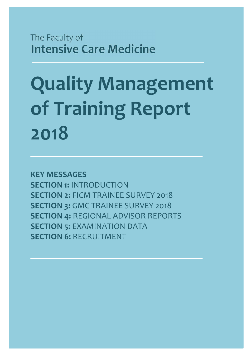The Faculty of **Intensive Care Medicine** 

# **Quality Management of Training Report 2018**

**KEY MESSAGES SECTION 1:** INTRODUCTION **SECTION 2:** FICM TRAINEE SURVEY 2018 **SECTION 3: GMC TRAINEE SURVEY 2018 SECTION 4:** REGIONAL ADVISOR REPORTS **SECTION 5: EXAMINATION DATA SECTION 6: RECRUITMENT**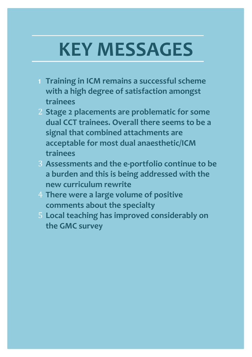# **KEY MESSAGES**

- **1 Training in ICM remains a successful scheme with a high degree of satisfaction amongst trainees**
- 2 **Stage 2 placements are problematic for some dual CCT trainees. Overall there seems to be a signal that combined attachments are acceptable for most dual anaesthetic/ICM trainees**
- 3 **Assessments and the e-portfolio continue to be a burden and this is being addressed with the new curriculum rewrite**
- 4 **There were a large volume of positive comments about the specialty**
- 5 **Local teaching has improved considerably on the GMC survey**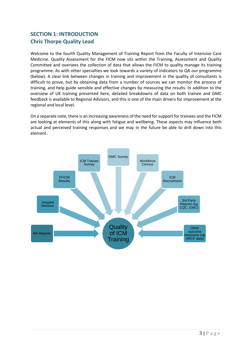#### **SECTION 1: INTRODUCTION Chris Thorpe Quality Lead**

Welcome to the fourth Quality Management of Training Report from the Faculty of Intensive Care Medicine. Quality Assessment for the FICM now sits within the Training, Assessment and Quality Committee and oversees the collection of data that allows the FICM to quality manage its training programme. As with other specialties we look towards a variety of indicators to QA our programme (below). A clear link between changes in training and improvement in the quality of consultants is difficult to prove, but by obtaining data from a number of sources we can monitor the process of training, and help guide sensible and effective changes by measuring the results. In addition to the overview of UK training presented here, detailed breakdowns of data on both trainee and GMC feedback is available to Regional Advisors, and this is one of the main drivers for improvement at the regional and local level.

On a separate note, there is an increasing awareness of the need for support for trainees and the FICM are looking at elements of this along with fatigue and wellbeing. These aspects may influence both actual and perceived training responses and we may in the future be able to drill down into this element.

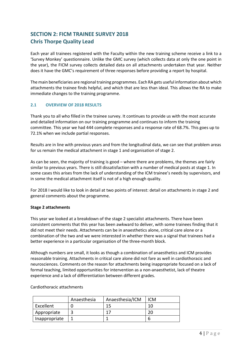#### **SECTION 2: FICM TRAINEE SURVEY 2018 Chris Thorpe Quality Lead**

Each year all trainees registered with the Faculty within the new training scheme receive a link to a 'Survey Monkey' questionnaire. Unlike the GMC survey (which collects data at only the one point in the year), the FICM survey collects detailed data on all attachments undertaken that year. Neither does it have the GMC's requirement of three responses before providing a report by hospital.

The main beneficiaries are regional training programmes. Each RA gets useful information about which attachments the trainee finds helpful, and which that are less than ideal. This allows the RA to make immediate changes to the training programme.

#### **2.1 OVERVIEW OF 2018 RESULTS**

Thank you to all who filled in the trainee survey. It continues to provide us with the most accurate and detailed information on our training programme and continues to inform the training committee. This year we had 444 complete responses and a response rate of 68.7%. This goes up to 72.1% when we include partial responses.

Results are in line with previous years and from the longitudinal data, we can see that problem areas for us remain the medical attachment in stage 1 and organisation of stage 2.

As can be seen, the majority of training is good – where there are problems, the themes are fairly similar to previous years. There is still dissatisfaction with a number of medical posts at stage 1. In some cases this arises from the lack of understanding of the ICM trainee's needs by supervisors, and in some the medical attachment itself is not of a high enough quality.

For 2018 I would like to look in detail at two points of interest: detail on attachments in stage 2 and general comments about the programme.

#### **Stage 2 attachments**

This year we looked at a breakdown of the stage 2 specialist attachments. There have been consistent comments that this year has been awkward to deliver, with some trainees finding that it did not meet their needs. Attachments can be in anaesthetics alone, critical care alone or a combination of the two and we were interested in whether there was a signal that trainees had a better experience in a particular organisation of the three-month block.

Although numbers are small, it looks as though a combination of anaesthetics and ICM provides reasonable training. Attachments in critical care alone did not fare as well in cardiothoracic and neurosciences. Comments on the reason for attachments being inappropriate focused on a lack of formal teaching, limited opportunities for intervention as a non-anaesthetist, lack of theatre experience and a lack of differentiation between different grades.

#### Cardiothoracic attachments

|               | Anaesthesia | Anaesthesia/ICM | <b>ICM</b> |
|---------------|-------------|-----------------|------------|
| Excellent     |             | 1 G             |            |
| Appropriate   |             |                 |            |
| Inappropriate |             |                 |            |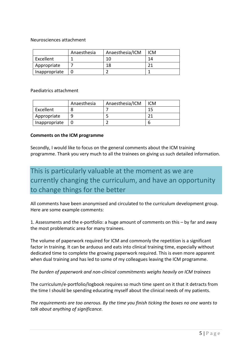Neurosciences attachment

|               | Anaesthesia | Anaesthesia/ICM | ICM |
|---------------|-------------|-----------------|-----|
| Excellent     |             | 1 ቦ             | 14  |
| Appropriate   |             | 18              |     |
| Inappropriate |             |                 |     |

Paediatrics attachment

|               | Anaesthesia | Anaesthesia/ICM | ICM |
|---------------|-------------|-----------------|-----|
| Excellent     |             |                 |     |
| Appropriate   |             |                 |     |
| Inappropriate |             |                 |     |

#### **Comments on the ICM programme**

Secondly, I would like to focus on the general comments about the ICM training programme. Thank you very much to all the trainees on giving us such detailed information.

### This is particularly valuable at the moment as we are currently changing the curriculum, and have an opportunity to change things for the better

All comments have been anonymised and circulated to the curriculum development group. Here are some example comments:

1. Assessments and the e-portfolio: a huge amount of comments on this – by far and away the most problematic area for many trainees.

The volume of paperwork required for ICM and commonly the repetition is a significant factor in training. It can be arduous and eats into clinical training time, especially without dedicated time to complete the growing paperwork required. This is even more apparent when dual training and has led to some of my colleagues leaving the ICM programme.

*The burden of paperwork and non-clinical commitments weighs heavily on ICM trainees* 

The curriculum/e-portfolio/logbook requires so much time spent on it that it detracts from the time I should be spending educating myself about the clinical needs of my patients.

*The requirements are too onerous. By the time you finish ticking the boxes no one wants to talk about anything of significance.*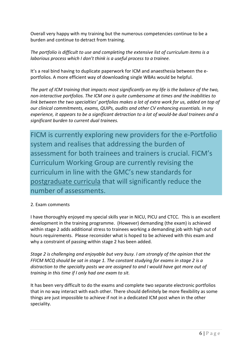Overall very happy with my training but the numerous competencies continue to be a burden and continue to detract from training.

*The portfolio is difficult to use and completing the extensive list of curriculum items is a laborious process which I don't think is a useful process to a trainee.* 

It's a real bind having to duplicate paperwork for ICM and anaesthesia between the eportfolios. A more efficient way of downloading single WBAs would be helpful.

*The part of ICM training that impacts most significantly on my life is the balance of the two, non-interactive portfolios. The ICM one is quite cumbersome at times and the inabilities to link between the two specialties' portfolios makes a lot of extra work for us, added on top of our clinical commitments, exams, QUIPs, audits and other CV enhancing essentials. In my experience, it appears to be a significant detraction to a lot of would-be dual trainees and a significant burden to current dual trainees.* 

FICM is currently exploring new providers for the e-Portfolio system and realises that addressing the burden of assessment for both trainees and trainers is crucial. FICM's Curriculum Working Group are currently revising the curriculum in line with the GMC's new standards for postgraduate curricula that will significantly reduce the number of assessments.

#### 2. Exam comments

I have thoroughly enjoyed my special skills year in NICU, PICU and CTCC. This is an excellent development in the training programme. (However) demanding (the exam) is achieved within stage 2 adds additional stress to trainees working a demanding job with high out of hours requirements. Please reconsider what is hoped to be achieved with this exam and why a constraint of passing within stage 2 has been added.

*Stage 2 is challenging and enjoyable but very busy. I am strongly of the opinion that the FFICM MCQ should be sat in stage 1. The constant studying for exams in stage 2 is a distraction to the specialty posts we are assigned to and I would have got more out of training in this time if I only had one exam to sit.* 

It has been very difficult to do the exams and complete two separate electronic portfolios that in no way interact with each other. There should definitely be more flexibility as some things are just impossible to achieve if not in a dedicated ICM post when in the other speciality.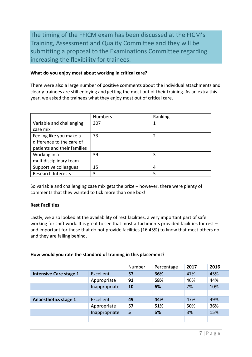The timing of the FFICM exam has been discussed at the FICM's Training, Assessment and Quality Committee and they will be submitting a proposal to the Examinations Committee regarding increasing the flexibility for trainees.

#### **What do you enjoy most about working in critical care?**

There were also a large number of positive comments about the individual attachments and clearly trainees are still enjoying and getting the most out of their training. As an extra this year, we asked the trainees what they enjoy most out of critical care.

|                             | <b>Numbers</b> | Ranking |
|-----------------------------|----------------|---------|
| Variable and challenging    | 307            | 1       |
| case mix                    |                |         |
| Feeling like you make a     | 73             | 2       |
| difference to the care of   |                |         |
| patients and their families |                |         |
| Working in a                | 39             | 3       |
| multidisciplinary team      |                |         |
| Supportive colleagues       | 15             | 4       |
| <b>Research Interests</b>   | 3              | 5       |

So variable and challenging case mix gets the prize – however, there were plenty of comments that they wanted to tick more than one box!

#### **Rest Facilities**

Lastly, we also looked at the availability of rest facilities, a very important part of safe working for shift work. It is great to see that most attachments provided facilities for rest and important for those that do not provide facilities (16.45%) to know that most others do and they are falling behind.

#### **How would you rate the standard of training in this placement?**

|                               |               | Number | Percentage | 2017 | 2016 |
|-------------------------------|---------------|--------|------------|------|------|
| <b>Intensive Care stage 1</b> | Excellent     | 57     | 36%        | 47%  | 45%  |
|                               | Appropriate   | 91     | 58%        | 46%  | 44%  |
|                               | Inappropriate | 10     | 6%         | 7%   | 10%  |
|                               |               |        |            |      |      |
| <b>Anaesthetics stage 1</b>   | Excellent     | 49     | 44%        | 47%  | 49%  |
|                               | Appropriate   | 57     | 51%        | 50%  | 36%  |
|                               | Inappropriate | 5      | 5%         | 3%   | 15%  |
|                               |               |        |            |      |      |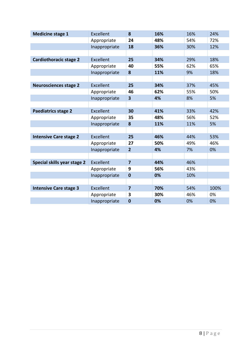| <b>Medicine stage 1</b>       | Excellent        | 8                       | 16% | 16% | 24%  |
|-------------------------------|------------------|-------------------------|-----|-----|------|
|                               | Appropriate      | 24                      | 48% | 54% | 72%  |
|                               | Inappropriate    | 18                      | 36% | 30% | 12%  |
|                               |                  |                         |     |     |      |
| <b>Cardiothoracic stage 2</b> | Excellent        | 25                      | 34% | 29% | 18%  |
|                               | Appropriate      | 40                      | 55% | 62% | 65%  |
|                               | Inappropriate    | 8                       | 11% | 9%  | 18%  |
|                               |                  |                         |     |     |      |
| <b>Neurosciences stage 2</b>  | Excellent        | 25                      | 34% | 37% | 45%  |
|                               | Appropriate      | 46                      | 62% | 55% | 50%  |
|                               | Inappropriate    | $\overline{\mathbf{3}}$ | 4%  | 8%  | 5%   |
|                               |                  |                         |     |     |      |
| <b>Paediatrics stage 2</b>    | <b>Excellent</b> | 30                      | 41% | 33% | 42%  |
|                               | Appropriate      | 35                      | 48% | 56% | 52%  |
|                               | Inappropriate    | 8                       | 11% | 11% | 5%   |
|                               |                  |                         |     |     |      |
| <b>Intensive Care stage 2</b> | Excellent        | 25                      | 46% | 44% | 53%  |
|                               | Appropriate      | 27                      | 50% | 49% | 46%  |
|                               | Inappropriate    | $\overline{2}$          | 4%  | 7%  | 0%   |
|                               |                  |                         |     |     |      |
| Special skills year stage 2   | <b>Excellent</b> | $\overline{7}$          | 44% | 46% |      |
|                               | Appropriate      | 9                       | 56% | 43% |      |
|                               | Inappropriate    | $\bf{0}$                | 0%  | 10% |      |
|                               |                  |                         |     |     |      |
| <b>Intensive Care stage 3</b> | Excellent        | $\overline{7}$          | 70% | 54% | 100% |
|                               | Appropriate      | 3                       | 30% | 46% | 0%   |
|                               | Inappropriate    | $\mathbf{0}$            | 0%  | 0%  | 0%   |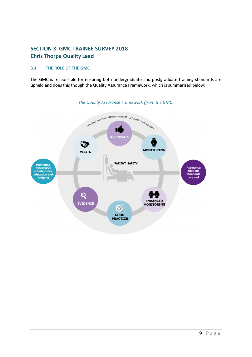#### **SECTION 3: GMC TRAINEE SURVEY 2018 Chris Thorpe Quality Lead**

#### **3.1 THE ROLE OF THE GMC**

The GMC is responsible for ensuring both undergraduate and postgraduate training standards are upheld and does this though the Quality Assurance Framework, which is summarised below:



*The Quality Assurance Framework (from the GMC)*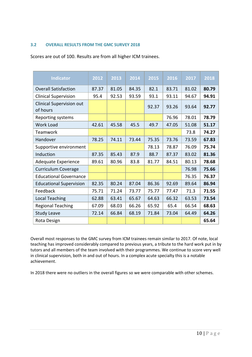#### **3.2 OVERALL RESULTS FROM THE GMC SURVEY 2018**

Scores are out of 100. Results are from all higher ICM trainees.

| <b>Indicator</b>                     | 2012  | 2013  | 2014  | 2015  | 2016  | 2017  | 2018  |
|--------------------------------------|-------|-------|-------|-------|-------|-------|-------|
| <b>Overall Satisfaction</b>          | 87.37 | 81.05 | 84.35 | 82.1  | 83.71 | 81.02 | 80.79 |
| <b>Clinical Supervision</b>          | 95.4  | 92.53 | 93.59 | 93.1  | 93.11 | 94.67 | 94.91 |
| Clinical Supervision out<br>of hours |       |       |       | 92.37 | 93.26 | 93.64 | 92.77 |
| Reporting systems                    |       |       |       |       | 76.96 | 78.01 | 78.79 |
| <b>Work Load</b>                     | 42.61 | 45.58 | 45.5  | 49.7  | 47.05 | 51.08 | 51.17 |
| Teamwork                             |       |       |       |       |       | 73.8  | 74.27 |
| Handover                             | 78.25 | 74.11 | 73.44 | 75.35 | 73.76 | 73.59 | 67.83 |
| Supportive environment               |       |       |       | 78.13 | 78.87 | 76.09 | 75.74 |
| Induction                            | 87.35 | 85.43 | 87.9  | 88.7  | 87.37 | 83.02 | 81.36 |
| Adequate Experience                  | 89.61 | 80.96 | 83.8  | 81.77 | 84.51 | 80.13 | 78.68 |
| <b>Curriculum Coverage</b>           |       |       |       |       |       | 76.98 | 75.66 |
| <b>Educational Governance</b>        |       |       |       |       |       | 76.35 | 76.37 |
| <b>Educational Supervision</b>       | 82.35 | 80.24 | 87.04 | 86.36 | 92.69 | 89.64 | 86.94 |
| Feedback                             | 75.71 | 71.24 | 73.77 | 75.77 | 77.47 | 71.3  | 71.55 |
| <b>Local Teaching</b>                | 62.88 | 63.41 | 65.67 | 64.63 | 66.32 | 63.53 | 73.54 |
| <b>Regional Teaching</b>             | 67.09 | 68.03 | 66.26 | 65.92 | 65.4  | 66.54 | 68.63 |
| <b>Study Leave</b>                   | 72.14 | 66.84 | 68.19 | 71.84 | 73.04 | 64.49 | 64.26 |
| Rota Design                          |       |       |       |       |       |       | 65.64 |

Overall most responses to the GMC survey from ICM trainees remain similar to 2017. Of note, local teaching has improved considerably compared to previous years, a tribute to the hard work put in by tutors and all members of the team involved with their programmes. We continue to score very well in clinical supervision, both in and out of hours. In a complex acute specialty this is a notable achievement.

In 2018 there were no outliers in the overall figures so we were comparable with other schemes.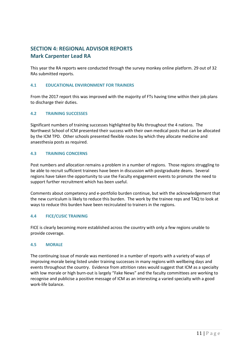#### **SECTION 4: REGIONAL ADVISOR REPORTS Mark Carpenter Lead RA**

This year the RA reports were conducted through the survey monkey online platform. 29 out of 32 RAs submitted reports.

#### **4.1 EDUCATIONAL ENVIRONMENT FOR TRAINERS**

From the 2017 report this was improved with the majority of FTs having time within their job plans to discharge their duties.

#### **4.2 TRAINING SUCCESSES**

Significant numbers of training successes highlighted by RAs throughout the 4 nations. The Northwest School of ICM presented their success with their own medical posts that can be allocated by the ICM TPD. Other schools presented flexible routes by which they allocate medicine and anaesthesia posts as required.

#### **4.3 TRAINING CONCERNS**

Post numbers and allocation remains a problem in a number of regions. Those regions struggling to be able to recruit sufficient trainees have been in discussion with postgraduate deans. Several regions have taken the opportunity to use the Faculty engagement events to promote the need to support further recruitment which has been useful.

Comments about competency and e-portfolio burden continue, but with the acknowledgement that the new curriculum is likely to reduce this burden. The work by the trainee reps and TAQ to look at ways to reduce this burden have been recirculated to trainers in the regions.

#### **4.4 FICE/CUSIC TRAINING**

FICE is clearly becoming more established across the country with only a few regions unable to provide coverage.

#### **4.5 MORALE**

The continuing issue of morale was mentioned in a number of reports with a variety of ways of improving morale being listed under training successes in many regions with wellbeing days and events throughout the country. Evidence from attrition rates would suggest that ICM as a specialty with low morale or high burn-out is largely "Fake News" and the faculty committees are working to recognise and publicise a positive message of ICM as an interesting a varied specialty with a good work-life balance.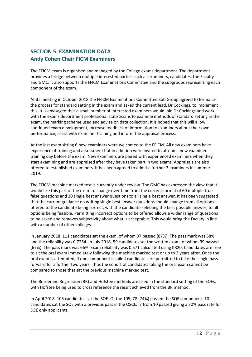#### **SECTION 5: EXAMINATION DATA Andy Cohen Chair FICM Examiners**

The FFICM exam is organised and managed by the College exams department. The department provides a bridge between multiple interested parties such as examiners, candidates, the Faculty and GMC. It also supports the FFICM Examinations Committee and the subgroups representing each component of the exam.

At its meeting in October 2018 the FFICM Examinations Committee Sub Group agreed to formalise the process for standard setting in the exam and asked the current lead, Dr Cockings, to implement this. It is envisaged that a small number of interested examiners would join Dr Cockings and work with the exams department professional statisticians to examine methods of standard setting in the exam, the marking scheme used and advise on data collection. It is hoped that this will allow continued exam development; increase feedback of information to examiners about their own performance; assist with examiner training and inform the appraisal process.

At the last exam sitting 6 new examiners were welcomed to the FFICM. All new examiners have experience of training and assessment but in addition were invited to attend a new examiner training day before the exam. New examiners are paired with experienced examiners when they start examining and are appraised after they have taken part in two exams. Appraisals are also offered to established examiners. It has been agreed to admit a further 7 examiners in summer 2019.

The FFICM machine marked test is currently under review. The GMC has expressed the view that it would like this part of the exam to change over time from the current format of 60 multiple true false questions and 30 single best answer questions to all single best answer. It has been suggested that the current guidance on writing single best answer questions should change from all options offered to the candidate being correct, with the candidate selecting the best possible answer, to all options being feasible. Permitting incorrect options to be offered allows a wider range of questions to be asked and removes subjectivity about what is acceptable. This would bring the Faculty in line with a number of other colleges.

In January 2018, 111 candidates sat the exam, of whom 97 passed (87%). The pass mark was 68% and the reliability was 0.7254. In July 2018, 59 candidates sat the written exam, of whom 39 passed (67%). The pass mark was 66%. Exam reliability was 0.571 calculated using KR20. Candidates are free to sit the oral exam immediately following the machine marked test or up to 3 years after. Once the oral exam is attempted, if one component is failed candidates are permitted to take the single pass forward for a further two years. Thus the cohort of candidates taking the oral exam cannot be compared to those that sat the previous machine marked test.

The Borderline Regression (BR) and Hofstee methods are used in the standard setting of the SOEs, with Hofstee being used to cross reference the result achieved from the BR method.

In April 2018, 105 candidates sat the SOE. Of the 105, 78 (74%) passed the SOE component. 10 candidates sat the SOE with a previous pass in the OSCE. 7 from 10 passed giving a 70% pass rate for SOE only applicants.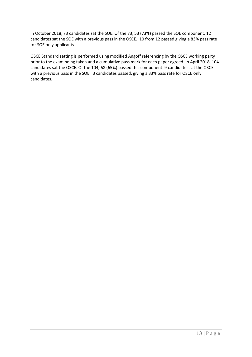In October 2018, 73 candidates sat the SOE. Of the 73, 53 (73%) passed the SOE component. 12 candidates sat the SOE with a previous pass in the OSCE. 10 from 12 passed giving a 83% pass rate for SOE only applicants.

OSCE Standard setting is performed using modified Angoff referencing by the OSCE working party prior to the exam being taken and a cumulative pass mark for each paper agreed. In April 2018, 104 candidates sat the OSCE. Of the 104, 68 (65%) passed this component. 9 candidates sat the OSCE with a previous pass in the SOE. 3 candidates passed, giving a 33% pass rate for OSCE only candidates.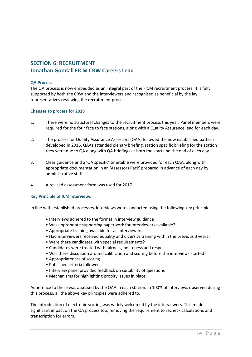#### **SECTION 6: RECRUITMENT Jonathan Goodall FICM CRW Careers Lead**

#### **QA Process**

The QA process is now embedded as an integral part of the FICM recruitment process. It is fully supported by both the CRW and the interviewers and recognised as beneficial by the lay representatives reviewing the recruitment process.

#### **Changes to process for 2018**

- 1. There were no structural changes to the recruitment process this year. Panel members were required for the four face to face stations, along with a Quality Assurance lead for each day.
- 2. The process for Quality Assurance Assessors (QAA) followed the now established pattern developed in 2016. QAAs attended plenary briefing, station specific briefing for the station they were due to QA along with QA briefings at both the start and the end of each day.
- 3. Clear guidance and a 'QA specific' timetable were provided for each QAA, along with appropriate documentation in an 'Assessors Pack' prepared in advance of each day by administrative staff.
- 4. A revised assessment form was used for 2017.

#### **Key Principle of ICM Interviews**

In line with established processes, interviews were conducted using the following key principles:

- Interviews adhered to the format in interview guidance
- Was appropriate supporting paperwork for interviewers available?
- Appropriate training available for all interviewers
- Had interviewers received equality and diversity training within the previous 3 years?
- Were there candidates with special requirements?
- Candidates were treated with fairness, politeness and respect
- Was there discussion around calibration and scoring before the interviews started?
- Appropriateness of scoring
- Published criteria followed
- Interview panel provided feedback on suitability of questions
- Mechanisms for highlighting probity issues in place

Adherence to these was assessed by the QAA in each station. In 100% of interviews observed during this process, all the above key principles were adhered to.

The introduction of electronic scoring was widely welcomed by the interviewers. This made a significant impact on the QA process too, removing the requirement to recheck calculations and transcription for errors.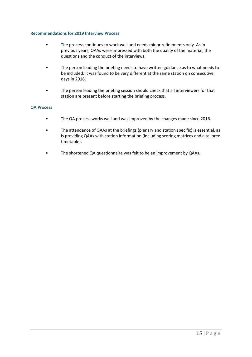#### **Recommendations for 2019 Interview Process**

- The process continues to work well and needs minor refinements only. As in previous years, QAAs were impressed with both the quality of the material, the questions and the conduct of the interviews.
- The person leading the briefing needs to have written guidance as to what needs to be included: it was found to be very different at the same station on consecutive days in 2018.
- The person leading the briefing session should check that all interviewers for that station are present before starting the briefing process.

#### **QA Process**

- The QA process works well and was improved by the changes made since 2016.
- The attendance of QAAs at the briefings (plenary and station specific) is essential, as is providing QAAs with station information (including scoring matrices and a tailored timetable).
- The shortened QA questionnaire was felt to be an improvement by QAAs.